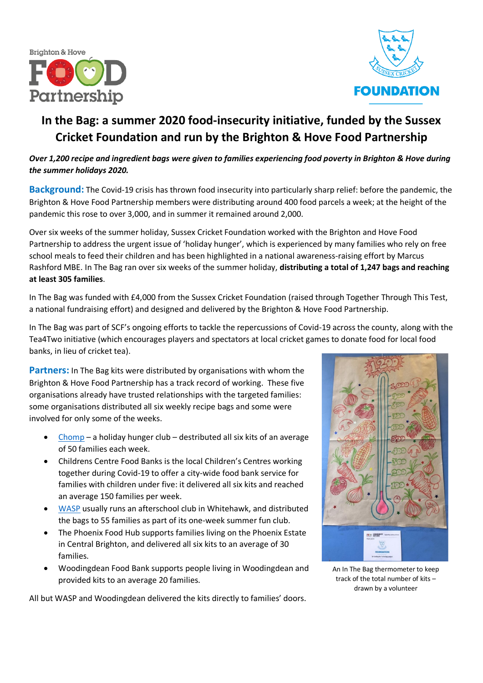



### **In the Bag: a summer 2020 food-insecurity initiative, funded by the Sussex Cricket Foundation and run by the Brighton & Hove Food Partnership**

#### *Over 1,200 recipe and ingredient bags were given to families experiencing food poverty in Brighton & Hove during the summer holidays 2020.*

**Background:** The Covid-19 crisis has thrown food insecurity into particularly sharp relief: before the pandemic, the Brighton & Hove Food Partnership members were distributing around 400 food parcels a week; at the height of the pandemic this rose to over 3,000, and in summer it remained around 2,000.

Over six weeks of the summer holiday, Sussex Cricket Foundation worked with the Brighton and Hove Food Partnership to address the urgent issue of 'holiday hunger', which is experienced by many families who rely on free school meals to feed their children and has been highlighted in a national awareness-raising effort by Marcus Rashford MBE. In The Bag ran over six weeks of the summer holiday, **distributing a total of 1,247 bags and reaching at least 305 families**.

In The Bag was funded with £4,000 from the Sussex Cricket Foundation (raised through Together Through This Test, a national fundraising effort) and designed and delivered by the Brighton & Hove Food Partnership.

In The Bag was part of SCF's ongoing efforts to tackle the repercussions of Covid-19 across the county, along with the Tea4Two initiative (which encourages players and spectators at local cricket games to donate food for local food banks, in lieu of cricket tea).

**Partners:** In The Bag kits were distributed by organisations with whom the Brighton & Hove Food Partnership has a track record of working. These five organisations already have trusted relationships with the targeted families: some organisations distributed all six weekly recipe bags and some were involved for only some of the weeks.

- [Chomp](https://chompbrighton.co.uk/) a holiday hunger club destributed all six kits of an average of 50 families each week.
- Childrens Centre Food Banks is the local Children's Centres working together during Covid-19 to offer a city-wide food bank service for families with children under five: it delivered all six kits and reached an average 150 families per week.
- [WASP](https://impact-initiatives.org.uk/services/children-young-people/wasp/) usually runs an afterschool club in Whitehawk, and distributed the bags to 55 families as part of its one-week summer fun club.
- The Phoenix Food Hub supports families living on the Phoenix Estate in Central Brighton, and delivered all six kits to an average of 30 families.
- Woodingdean Food Bank supports people living in Woodingdean and provided kits to an average 20 families.

All but WASP and Woodingdean delivered the kits directly to families' doors.



An In The Bag thermometer to keep track of the total number of kits – drawn by a volunteer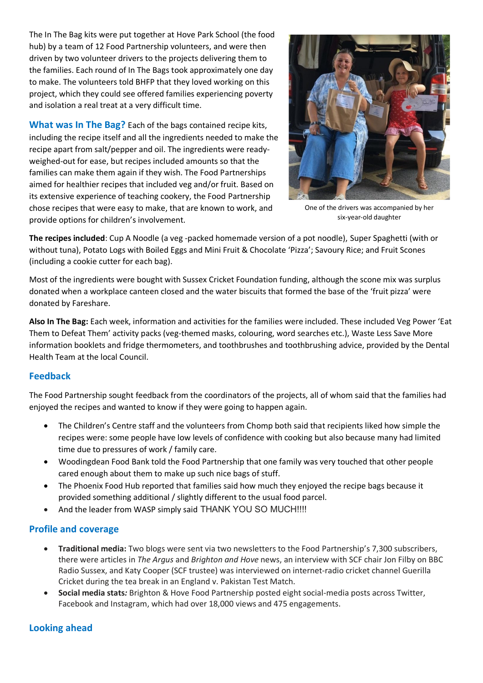The In The Bag kits were put together at Hove Park School (the food hub) by a team of 12 Food Partnership volunteers, and were then driven by two volunteer drivers to the projects delivering them to the families. Each round of In The Bags took approximately one day to make. The volunteers told BHFP that they loved working on this project, which they could see offered families experiencing poverty and isolation a real treat at a very difficult time.

**What was In The Bag?** Each of the bags contained recipe kits, including the recipe itself and all the ingredients needed to make the recipe apart from salt/pepper and oil. The ingredients were readyweighed-out for ease, but recipes included amounts so that the families can make them again if they wish. The Food Partnerships aimed for healthier recipes that included veg and/or fruit. Based on its extensive experience of teaching cookery, the Food Partnership chose recipes that were easy to make, that are known to work, and provide options for children's involvement.



One of the drivers was accompanied by her six-year-old daughter

**The recipes included**: Cup A Noodle (a veg -packed homemade version of a pot noodle), Super Spaghetti (with or without tuna), Potato Logs with Boiled Eggs and Mini Fruit & Chocolate 'Pizza'; Savoury Rice; and Fruit Scones (including a cookie cutter for each bag).

Most of the ingredients were bought with Sussex Cricket Foundation funding, although the scone mix was surplus donated when a workplace canteen closed and the water biscuits that formed the base of the 'fruit pizza' were donated by Fareshare.

**Also In The Bag:** Each week, information and activities for the families were included. These included Veg Power 'Eat Them to Defeat Them' activity packs (veg-themed masks, colouring, word searches etc.), Waste Less Save More information booklets and fridge thermometers, and toothbrushes and toothbrushing advice, provided by the Dental Health Team at the local Council.

#### **Feedback**

The Food Partnership sought feedback from the coordinators of the projects, all of whom said that the families had enjoyed the recipes and wanted to know if they were going to happen again.

- The Children's Centre staff and the volunteers from Chomp both said that recipients liked how simple the recipes were: some people have low levels of confidence with cooking but also because many had limited time due to pressures of work / family care.
- Woodingdean Food Bank told the Food Partnership that one family was very touched that other people cared enough about them to make up such nice bags of stuff.
- The Phoenix Food Hub reported that families said how much they enjoyed the recipe bags because it provided something additional / slightly different to the usual food parcel.
- And the leader from WASP simply said THANK YOU SO MUCH!!!!

#### **Profile and coverage**

- **Traditional media:** Two blogs were sent via two newsletters to the Food Partnership's 7,300 subscribers, there were articles in *The Argus* and *Brighton and Hove* news, an interview with SCF chair Jon Filby on BBC Radio Sussex, and Katy Cooper (SCF trustee) was interviewed on internet-radio cricket channel Guerilla Cricket during the tea break in an England v. Pakistan Test Match.
- **Social media stats***:* Brighton & Hove Food Partnership posted eight social-media posts across Twitter, Facebook and Instagram, which had over 18,000 views and 475 engagements.

#### **Looking ahead**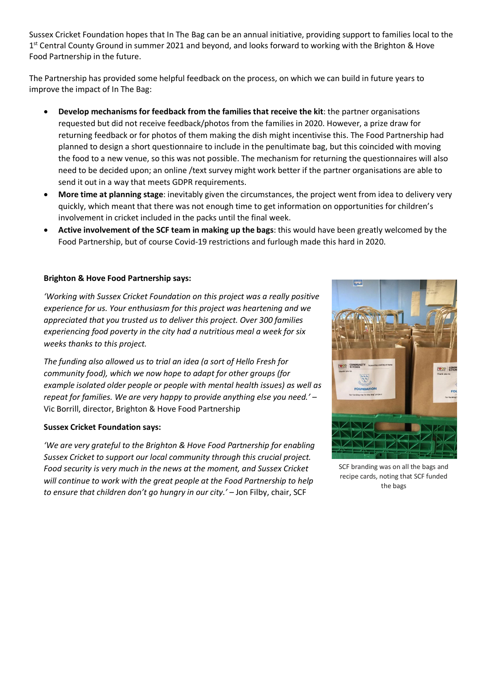Sussex Cricket Foundation hopes that In The Bag can be an annual initiative, providing support to families local to the 1<sup>st</sup> Central County Ground in summer 2021 and beyond, and looks forward to working with the Brighton & Hove Food Partnership in the future.

The Partnership has provided some helpful feedback on the process, on which we can build in future years to improve the impact of In The Bag:

- **Develop mechanisms for feedback from the families that receive the kit**: the partner organisations requested but did not receive feedback/photos from the families in 2020. However, a prize draw for returning feedback or for photos of them making the dish might incentivise this. The Food Partnership had planned to design a short questionnaire to include in the penultimate bag, but this coincided with moving the food to a new venue, so this was not possible. The mechanism for returning the questionnaires will also need to be decided upon; an online /text survey might work better if the partner organisations are able to send it out in a way that meets GDPR requirements.
- **More time at planning stage**: inevitably given the circumstances, the project went from idea to delivery very quickly, which meant that there was not enough time to get information on opportunities for children's involvement in cricket included in the packs until the final week.
- **Active involvement of the SCF team in making up the bags**: this would have been greatly welcomed by the Food Partnership, but of course Covid-19 restrictions and furlough made this hard in 2020.

#### **Brighton & Hove Food Partnership says:**

*'Working with Sussex Cricket Foundation on this project was a really positive experience for us. Your enthusiasm for this project was heartening and we appreciated that you trusted us to deliver this project. Over 300 families experiencing food poverty in the city had a nutritious meal a week for six weeks thanks to this project.*

*The funding also allowed us to trial an idea (a sort of Hello Fresh for community food), which we now hope to adapt for other groups (for example isolated older people or people with mental health issues) as well as repeat for families. We are very happy to provide anything else you need.'* – Vic Borrill, director, Brighton & Hove Food Partnership

#### **Sussex Cricket Foundation says:**

*'We are very grateful to the Brighton & Hove Food Partnership for enabling Sussex Cricket to support our local community through this crucial project. Food security is very much in the news at the moment, and Sussex Cricket will continue to work with the great people at the Food Partnership to help*  to ensure that children don't go hungry in our city.' - Jon Filby, chair, SCF



SCF branding was on all the bags and recipe cards, noting that SCF funded the bags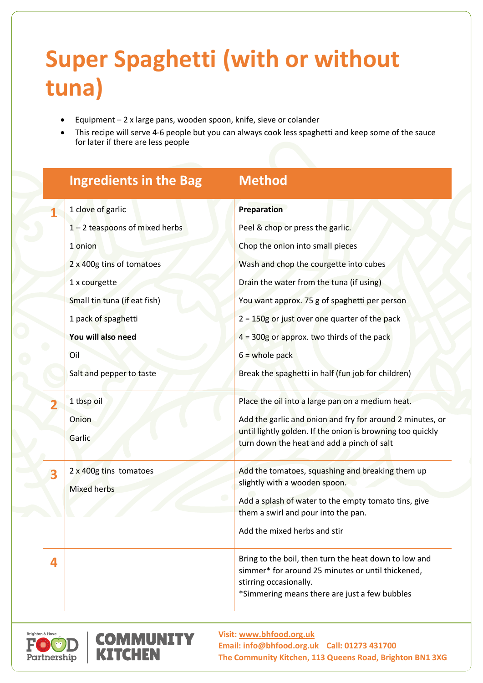# **Super Spaghetti (with or without tuna)**

- Equipment 2 x large pans, wooden spoon, knife, sieve or colander
- This recipe will serve 4-6 people but you can always cook less spaghetti and keep some of the sauce for later if there are less people

|                              | <b>Ingredients in the Bag</b> | <b>Method</b>                                                                                            |
|------------------------------|-------------------------------|----------------------------------------------------------------------------------------------------------|
| 1 clove of garlic            |                               | Preparation                                                                                              |
|                              | 1-2 teaspoons of mixed herbs  | Peel & chop or press the garlic.                                                                         |
| 1 onion                      |                               | Chop the onion into small pieces                                                                         |
| 2 x 400g tins of tomatoes    |                               | Wash and chop the courgette into cubes                                                                   |
| 1 x courgette                |                               | Drain the water from the tuna (if using)                                                                 |
| Small tin tuna (if eat fish) |                               | You want approx. 75 g of spaghetti per person                                                            |
| 1 pack of spaghetti          |                               | $2 = 150g$ or just over one quarter of the pack                                                          |
| You will also need           |                               | $4 = 300g$ or approx. two thirds of the pack                                                             |
| Oil                          |                               | $6 =$ whole pack                                                                                         |
| Salt and pepper to taste     |                               | Break the spaghetti in half (fun job for children)                                                       |
| 1 tbsp oil                   |                               | Place the oil into a large pan on a medium heat.                                                         |
| Onion                        |                               | Add the garlic and onion and fry for around 2 minutes, or                                                |
| Garlic                       |                               | until lightly golden. If the onion is browning too quickly<br>turn down the heat and add a pinch of salt |
| 2 x 400g tins tomatoes<br>3  |                               | Add the tomatoes, squashing and breaking them up                                                         |
| <b>Mixed herbs</b>           |                               | slightly with a wooden spoon.                                                                            |
|                              |                               | Add a splash of water to the empty tomato tins, give<br>them a swirl and pour into the pan.              |
|                              |                               | Add the mixed herbs and stir                                                                             |
|                              |                               |                                                                                                          |
| 4                            |                               | Bring to the boil, then turn the heat down to low and                                                    |
|                              |                               | simmer* for around 25 minutes or until thickened,<br>stirring occasionally.                              |
|                              |                               | *Simmering means there are just a few bubbles                                                            |





**Visit: [www.bhfood.org.uk](http://www.bhfood.org.uk/events) Email: [info@bhfood.org.uk](mailto:info@bhfood.org.uk) Call: 01273 431700 The Community Kitchen, 113 Queens Road, Brighton BN1 3XG**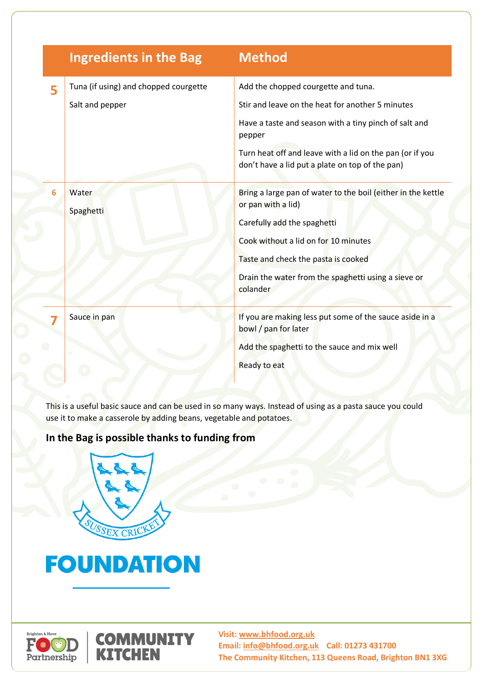|   | <b>Ingredients in the Bag</b>                            | <b>Method</b>                                                                                                                                                                                                                                                             |
|---|----------------------------------------------------------|---------------------------------------------------------------------------------------------------------------------------------------------------------------------------------------------------------------------------------------------------------------------------|
| 5 | Tuna (if using) and chopped courgette<br>Salt and pepper | Add the chopped courgette and tuna.<br>Stir and leave on the heat for another 5 minutes<br>Have a taste and season with a tiny pinch of salt and<br>pepper<br>Turn heat off and leave with a lid on the pan (or if you<br>don't have a lid put a plate on top of the pan) |
|   | Water<br>Spaghetti                                       | Bring a large pan of water to the boil (either in the kettle<br>or pan with a lid)<br>Carefully add the spaghetti<br>Cook without a lid on for 10 minutes<br>Taste and check the pasta is cooked<br>Drain the water from the spaghetti using a sieve or<br>colander       |
|   | Sauce in pan                                             | If you are making less put some of the sauce aside in a<br>bowl / pan for later<br>Add the spaghetti to the sauce and mix well<br>Ready to eat                                                                                                                            |

This is a useful basic sauce and can be used in so many ways. Instead of using as a pasta sauce you could use it to make a casserole by adding beans, vegetable and potatoes.

### **In the Bag is possible thanks to funding from**



## **FOUNDATION**